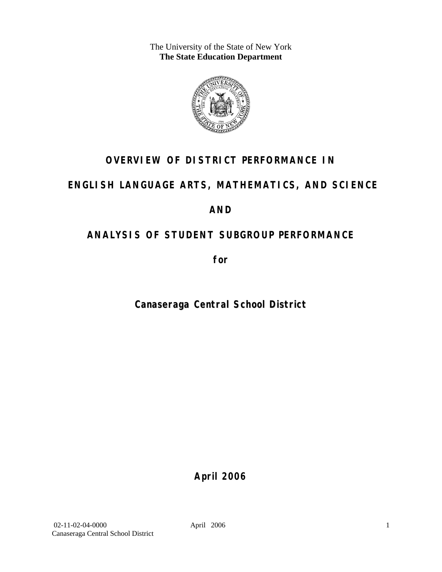The University of the State of New York **The State Education Department** 



## **OVERVIEW OF DISTRICT PERFORMANCE IN**

## **ENGLISH LANGUAGE ARTS, MATHEMATICS, AND SCIENCE**

## **AND**

## **ANALYSIS OF STUDENT SUBGROUP PERFORMANCE**

**for** 

**Canaseraga Central School District**

**April 2006**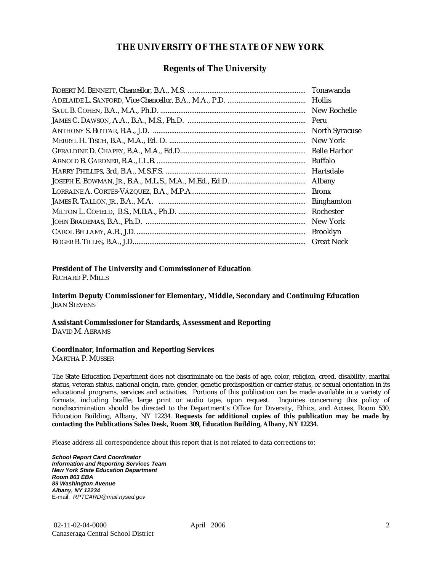#### **THE UNIVERSITY OF THE STATE OF NEW YORK**

#### **Regents of The University**

| Peru                  |
|-----------------------|
| <b>North Syracuse</b> |
| New York              |
| <b>Belle Harbor</b>   |
| Buffalo               |
| Hartsdale             |
| Albany                |
| <b>Bronx</b>          |
| <b>Binghamton</b>     |
| Rochester             |
| New York              |
| <b>Brooklyn</b>       |
| <b>Great Neck</b>     |

#### **President of The University and Commissioner of Education**

RICHARD P. MILLS

**Interim Deputy Commissioner for Elementary, Middle, Secondary and Continuing Education**  JEAN STEVENS

#### **Assistant Commissioner for Standards, Assessment and Reporting**  DAVID M. ABRAMS

#### **Coordinator, Information and Reporting Services**

MARTHA P. MUSSER

The State Education Department does not discriminate on the basis of age, color, religion, creed, disability, marital status, veteran status, national origin, race, gender, genetic predisposition or carrier status, or sexual orientation in its educational programs, services and activities. Portions of this publication can be made available in a variety of formats, including braille, large print or audio tape, upon request. Inquiries concerning this policy of nondiscrimination should be directed to the Department's Office for Diversity, Ethics, and Access, Room 530, Education Building, Albany, NY 12234. **Requests for additional copies of this publication may be made by contacting the Publications Sales Desk, Room 309, Education Building, Albany, NY 12234.** 

Please address all correspondence about this report that is not related to data corrections to:

*School Report Card Coordinator Information and Reporting Services Team New York State Education Department Room 863 EBA 89 Washington Avenue Albany, NY 12234*  E-mail: *RPTCARD@mail.nysed.gov*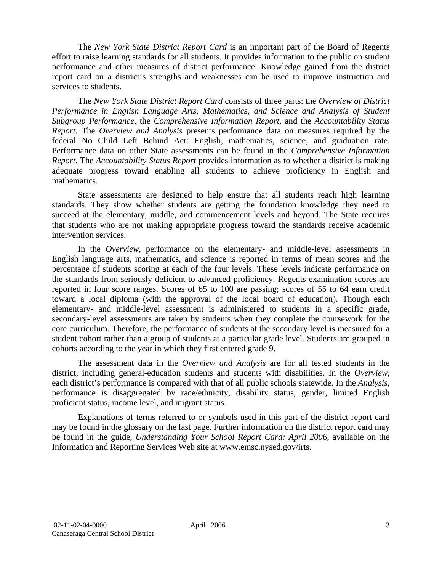The *New York State District Report Card* is an important part of the Board of Regents effort to raise learning standards for all students. It provides information to the public on student performance and other measures of district performance. Knowledge gained from the district report card on a district's strengths and weaknesses can be used to improve instruction and services to students.

The *New York State District Report Card* consists of three parts: the *Overview of District Performance in English Language Arts, Mathematics, and Science and Analysis of Student Subgroup Performance,* the *Comprehensive Information Report,* and the *Accountability Status Report.* The *Overview and Analysis* presents performance data on measures required by the federal No Child Left Behind Act: English, mathematics, science, and graduation rate. Performance data on other State assessments can be found in the *Comprehensive Information Report*. The *Accountability Status Report* provides information as to whether a district is making adequate progress toward enabling all students to achieve proficiency in English and mathematics.

State assessments are designed to help ensure that all students reach high learning standards. They show whether students are getting the foundation knowledge they need to succeed at the elementary, middle, and commencement levels and beyond. The State requires that students who are not making appropriate progress toward the standards receive academic intervention services.

In the *Overview*, performance on the elementary- and middle-level assessments in English language arts, mathematics, and science is reported in terms of mean scores and the percentage of students scoring at each of the four levels. These levels indicate performance on the standards from seriously deficient to advanced proficiency. Regents examination scores are reported in four score ranges. Scores of 65 to 100 are passing; scores of 55 to 64 earn credit toward a local diploma (with the approval of the local board of education). Though each elementary- and middle-level assessment is administered to students in a specific grade, secondary-level assessments are taken by students when they complete the coursework for the core curriculum. Therefore, the performance of students at the secondary level is measured for a student cohort rather than a group of students at a particular grade level. Students are grouped in cohorts according to the year in which they first entered grade 9.

The assessment data in the *Overview and Analysis* are for all tested students in the district, including general-education students and students with disabilities. In the *Overview*, each district's performance is compared with that of all public schools statewide. In the *Analysis*, performance is disaggregated by race/ethnicity, disability status, gender, limited English proficient status, income level, and migrant status.

Explanations of terms referred to or symbols used in this part of the district report card may be found in the glossary on the last page. Further information on the district report card may be found in the guide, *Understanding Your School Report Card: April 2006*, available on the Information and Reporting Services Web site at www.emsc.nysed.gov/irts.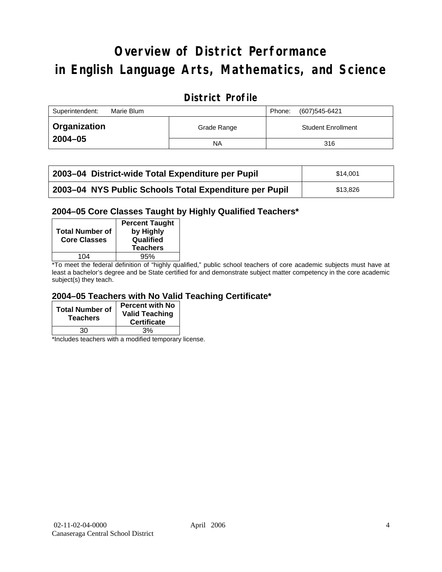# **Overview of District Performance in English Language Arts, Mathematics, and Science**

## **District Profile**

| Superintendent:<br>Marie Blum |             | (607)545-6421<br>Phone:   |
|-------------------------------|-------------|---------------------------|
| Organization                  | Grade Range | <b>Student Enrollment</b> |
| $2004 - 05$                   | NA          | 316                       |

| 2003–04 District-wide Total Expenditure per Pupil      | \$14.001 |
|--------------------------------------------------------|----------|
| 2003-04 NYS Public Schools Total Expenditure per Pupil | \$13,826 |

#### **2004–05 Core Classes Taught by Highly Qualified Teachers\***

| <b>Total Number of</b><br><b>Core Classes</b> | <b>Percent Taught</b><br>by Highly<br>Qualified<br><b>Teachers</b> |
|-----------------------------------------------|--------------------------------------------------------------------|
| 104                                           | 95%                                                                |
| $\sim$ $\sim$ $\sim$                          | $\cdot$<br>$\cdot\cdot\cdot$<br>. .                                |

\*To meet the federal definition of "highly qualified," public school teachers of core academic subjects must have at least a bachelor's degree and be State certified for and demonstrate subject matter competency in the core academic subject(s) they teach.

#### **2004–05 Teachers with No Valid Teaching Certificate\***

| <b>Total Number of</b><br><b>Teachers</b> | <b>Percent with No</b><br><b>Valid Teaching</b><br><b>Certificate</b> |
|-------------------------------------------|-----------------------------------------------------------------------|
| 30                                        | 3%                                                                    |

\*Includes teachers with a modified temporary license.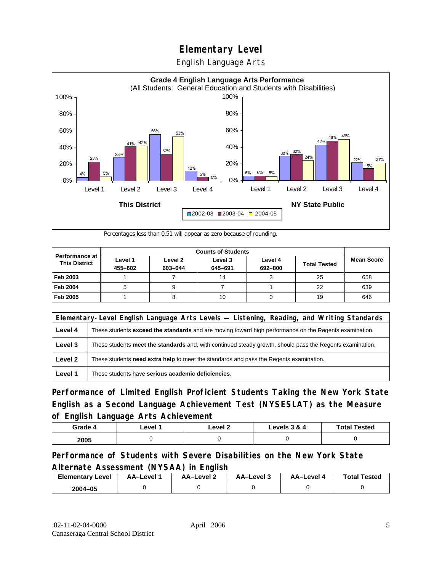English Language Arts



Percentages less than 0.51 will appear as zero because of rounding.

|                                               | <b>Counts of Students</b> |                    |                    |                    |                     |                   |
|-----------------------------------------------|---------------------------|--------------------|--------------------|--------------------|---------------------|-------------------|
| <b>Performance at</b><br><b>This District</b> | Level 1<br>455-602        | Level 2<br>603-644 | Level 3<br>645-691 | Level 4<br>692-800 | <b>Total Tested</b> | <b>Mean Score</b> |
| Feb 2003                                      |                           |                    | 14                 |                    | 25                  | 658               |
| <b>Feb 2004</b>                               |                           |                    |                    |                    | 22                  | 639               |
| Feb 2005                                      |                           |                    | 10                 |                    | 19                  | 646               |

|         | Elementary-Level English Language Arts Levels — Listening, Reading, and Writing Standards                 |  |  |  |  |
|---------|-----------------------------------------------------------------------------------------------------------|--|--|--|--|
| Level 4 | These students exceed the standards and are moving toward high performance on the Regents examination.    |  |  |  |  |
| Level 3 | These students meet the standards and, with continued steady growth, should pass the Regents examination. |  |  |  |  |
| Level 2 | These students need extra help to meet the standards and pass the Regents examination.                    |  |  |  |  |
| Level 1 | These students have serious academic deficiencies.                                                        |  |  |  |  |

**Performance of Limited English Proficient Students Taking the New York State English as a Second Language Achievement Test (NYSESLAT) as the Measure of English Language Arts Achievement**

| Grade 4 | ∟evel ′ | Level 2 | Levels 3 & 4 | <b>Total Tested</b> |
|---------|---------|---------|--------------|---------------------|
| 2005    |         |         |              |                     |

#### **Performance of Students with Severe Disabilities on the New York State Alternate Assessment (NYSAA) in English**

| <b>Elementary</b><br>Level | AA-Level | AA-Level 2 | ڌ AA–Level | AA–Level | <b>Total Tested</b> |
|----------------------------|----------|------------|------------|----------|---------------------|
| 2004-05                    |          |            |            |          |                     |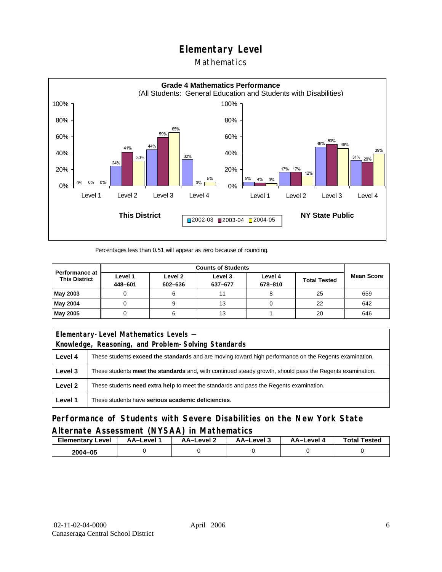### Mathematics



Percentages less than 0.51 will appear as zero because of rounding.

|                                               | <b>Counts of Students</b> |                    |                    |                    |                     |                   |
|-----------------------------------------------|---------------------------|--------------------|--------------------|--------------------|---------------------|-------------------|
| <b>Performance at</b><br><b>This District</b> | Level 1<br>448-601        | Level 2<br>602-636 | Level 3<br>637-677 | Level 4<br>678-810 | <b>Total Tested</b> | <b>Mean Score</b> |
| May 2003                                      |                           |                    |                    |                    | 25                  | 659               |
| May 2004                                      |                           |                    | 13                 |                    | 22                  | 642               |
| May 2005                                      |                           |                    | 13                 |                    | 20                  | 646               |

|         | Elementary-Level Mathematics Levels -                                                                     |  |  |  |  |
|---------|-----------------------------------------------------------------------------------------------------------|--|--|--|--|
|         | Knowledge, Reasoning, and Problem-Solving Standards                                                       |  |  |  |  |
| Level 4 | These students exceed the standards and are moving toward high performance on the Regents examination.    |  |  |  |  |
| Level 3 | These students meet the standards and, with continued steady growth, should pass the Regents examination. |  |  |  |  |
| Level 2 | These students <b>need extra help</b> to meet the standards and pass the Regents examination.             |  |  |  |  |
| Level 1 | These students have serious academic deficiencies.                                                        |  |  |  |  |

**Performance of Students with Severe Disabilities on the New York State Alternate Assessment (NYSAA) in Mathematics** 

| <b>Elementary</b><br>Level | AA-Level | – AA–Level ∠ | د AA–Level | AA–Level 4 | <b>Total Tested</b> |
|----------------------------|----------|--------------|------------|------------|---------------------|
| 2004-05                    |          |              |            |            |                     |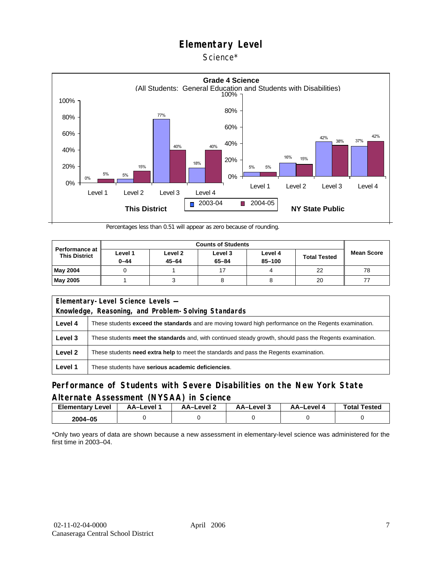Science\*



Percentages less than 0.51 will appear as zero because of rounding.

| <b>Performance at</b><br><b>This District</b> | Level 1<br>$0 - 44$ | Level 2<br>$45 - 64$ | Level 3<br>$65 - 84$ | Level 4<br>85-100 | <b>Total Tested</b> | <b>Mean Score</b> |
|-----------------------------------------------|---------------------|----------------------|----------------------|-------------------|---------------------|-------------------|
| <b>May 2004</b>                               |                     |                      |                      |                   | 22                  | 78                |
| <b>May 2005</b>                               |                     |                      |                      |                   | 20                  |                   |

| Elementary-Level Science Levels -                   |                                                                                                               |  |  |  |  |
|-----------------------------------------------------|---------------------------------------------------------------------------------------------------------------|--|--|--|--|
| Knowledge, Reasoning, and Problem-Solving Standards |                                                                                                               |  |  |  |  |
| Level 4                                             | These students <b>exceed the standards</b> and are moving toward high performance on the Regents examination. |  |  |  |  |
| Level 3                                             | These students meet the standards and, with continued steady growth, should pass the Regents examination.     |  |  |  |  |
| Level 2                                             | These students <b>need extra help</b> to meet the standards and pass the Regents examination.                 |  |  |  |  |
| Level 1                                             | These students have serious academic deficiencies.                                                            |  |  |  |  |

### **Performance of Students with Severe Disabilities on the New York State Alternate Assessment (NYSAA) in Science**

| <b>Elementary Level</b> | <b>AA-Level</b> 1 | – AA–Level | ة AA–Level | AA–Level 4 | <b>Total Tested</b> |
|-------------------------|-------------------|------------|------------|------------|---------------------|
| 2004-05                 |                   |            |            |            |                     |

\*Only two years of data are shown because a new assessment in elementary-level science was administered for the first time in 2003–04.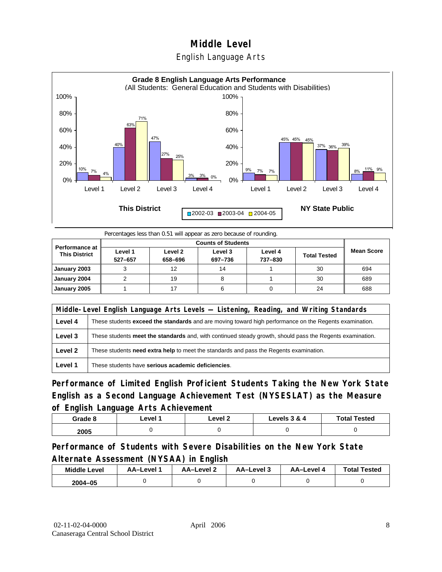



Percentages less than 0.51 will appear as zero because of rounding.

|                                               |                    | <b>Counts of Students</b> |                    |                    |                     |                   |  |  |  |
|-----------------------------------------------|--------------------|---------------------------|--------------------|--------------------|---------------------|-------------------|--|--|--|
| <b>Performance at</b><br><b>This District</b> | Level 1<br>527-657 | Level 2<br>658-696        | Level 3<br>697-736 | Level 4<br>737-830 | <b>Total Tested</b> | <b>Mean Score</b> |  |  |  |
| January 2003                                  |                    | 12                        | 14                 |                    | 30                  | 694               |  |  |  |
| January 2004                                  |                    | 19                        |                    |                    | 30                  | 689               |  |  |  |
| January 2005                                  |                    |                           |                    |                    | 24                  | 688               |  |  |  |

|         | Middle-Level English Language Arts Levels — Listening, Reading, and Writing Standards                     |  |  |  |  |
|---------|-----------------------------------------------------------------------------------------------------------|--|--|--|--|
| Level 4 | These students exceed the standards and are moving toward high performance on the Regents examination.    |  |  |  |  |
| Level 3 | These students meet the standards and, with continued steady growth, should pass the Regents examination. |  |  |  |  |
| Level 2 | These students <b>need extra help</b> to meet the standards and pass the Regents examination.             |  |  |  |  |
| Level 1 | These students have serious academic deficiencies.                                                        |  |  |  |  |

**Performance of Limited English Proficient Students Taking the New York State English as a Second Language Achievement Test (NYSESLAT) as the Measure of English Language Arts Achievement**

| Grade 8 | ∟evel 1 | ∟evel 2 | Levels 3 & 4 | <b>Total Tested</b> |
|---------|---------|---------|--------------|---------------------|
| 2005    |         |         |              |                     |

**Performance of Students with Severe Disabilities on the New York State Alternate Assessment (NYSAA) in English** 

| <b>Middle Level</b> | AA-Level | <b>AA-Level 2</b> | AA-Level 3 | AA–Level 4 | <b>Total Tested</b> |
|---------------------|----------|-------------------|------------|------------|---------------------|
| $2004 - 05$         |          |                   |            |            |                     |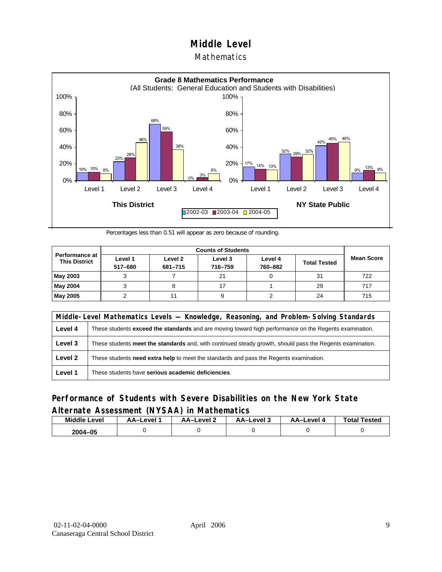#### **Mathematics**



Percentages less than 0.51 will appear as zero because of rounding.

|                                        |                    | <b>Counts of Students</b> |                    |                    |                     |                   |  |  |  |
|----------------------------------------|--------------------|---------------------------|--------------------|--------------------|---------------------|-------------------|--|--|--|
| Performance at<br><b>This District</b> | Level 1<br>517-680 | Level 2<br>681-715        | Level 3<br>716-759 | Level 4<br>760-882 | <b>Total Tested</b> | <b>Mean Score</b> |  |  |  |
| May 2003                               |                    |                           | 21                 |                    | 31                  | 722               |  |  |  |
| May 2004                               |                    |                           |                    |                    | 29                  | 717               |  |  |  |
| May 2005                               |                    |                           |                    |                    | 24                  | 715               |  |  |  |

|         | Middle-Level Mathematics Levels — Knowledge, Reasoning, and Problem-Solving Standards                         |  |  |  |  |
|---------|---------------------------------------------------------------------------------------------------------------|--|--|--|--|
| Level 4 | These students <b>exceed the standards</b> and are moving toward high performance on the Regents examination. |  |  |  |  |
| Level 3 | These students meet the standards and, with continued steady growth, should pass the Regents examination.     |  |  |  |  |
| Level 2 | These students need extra help to meet the standards and pass the Regents examination.                        |  |  |  |  |
| Level 1 | These students have serious academic deficiencies.                                                            |  |  |  |  |

### **Performance of Students with Severe Disabilities on the New York State Alternate Assessment (NYSAA) in Mathematics**

| <b>Middle Level</b> | AA-Level | <b>AA-Level 2</b> | AA–Level 3 | AA–Level 4 | <b>Total Tested</b> |
|---------------------|----------|-------------------|------------|------------|---------------------|
| 2004-05             |          |                   |            |            |                     |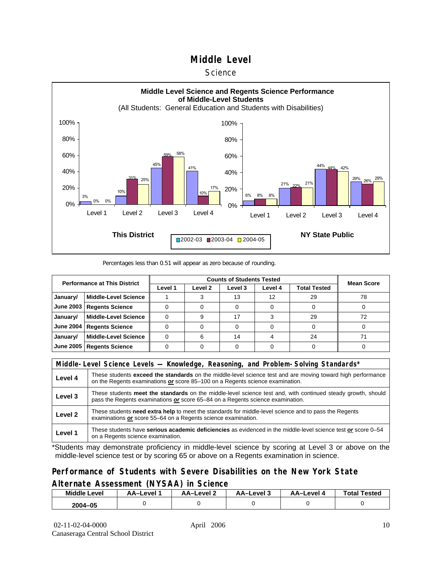#### **Science**



#### Percentages less than 0.51 will appear as zero because of rounding.

| <b>Performance at This District</b> |                             |         | <b>Mean Score</b> |         |         |              |    |
|-------------------------------------|-----------------------------|---------|-------------------|---------|---------|--------------|----|
|                                     |                             | Level 1 | Level 2           | Level 3 | Level 4 | Total Tested |    |
| January/                            | <b>Middle-Level Science</b> |         |                   | 13      | 12      | 29           | 78 |
| <b>June 2003</b>                    | <b>Regents Science</b>      |         |                   |         |         |              |    |
| January/                            | <b>Middle-Level Science</b> |         |                   |         |         | 29           |    |
| <b>June 2004</b>                    | <b>Regents Science</b>      |         |                   |         |         |              |    |
| January/                            | <b>Middle-Level Science</b> |         | 6                 | 14      |         | 24           | 71 |
| <b>June 2005</b>                    | <b>Regents Science</b>      |         |                   |         |         |              |    |

|         | Middle-Level Science Levels — Knowledge, Reasoning, and Problem-Solving Standards*                                                                                                                  |  |  |  |  |
|---------|-----------------------------------------------------------------------------------------------------------------------------------------------------------------------------------------------------|--|--|--|--|
| Level 4 | These students <b>exceed the standards</b> on the middle-level science test and are moving toward high performance<br>on the Regents examinations or score 85-100 on a Regents science examination. |  |  |  |  |
| Level 3 | These students meet the standards on the middle-level science test and, with continued steady growth, should<br>pass the Regents examinations or score 65–84 on a Regents science examination.      |  |  |  |  |
| Level 2 | These students need extra help to meet the standards for middle-level science and to pass the Regents<br>examinations or score 55–64 on a Regents science examination.                              |  |  |  |  |
| Level 1 | These students have serious academic deficiencies as evidenced in the middle-level science test or score 0-54<br>on a Regents science examination.                                                  |  |  |  |  |

\*Students may demonstrate proficiency in middle-level science by scoring at Level 3 or above on the middle-level science test or by scoring 65 or above on a Regents examination in science.

#### **Performance of Students with Severe Disabilities on the New York State Alternate Assessment (NYSAA) in Science**

| Middle L<br>_evel | AA–Level | AA-Level 2 | AA-Level 3 | AA–Level | <b>Tested</b><br>Total. |
|-------------------|----------|------------|------------|----------|-------------------------|
| 2004-05           |          |            |            |          |                         |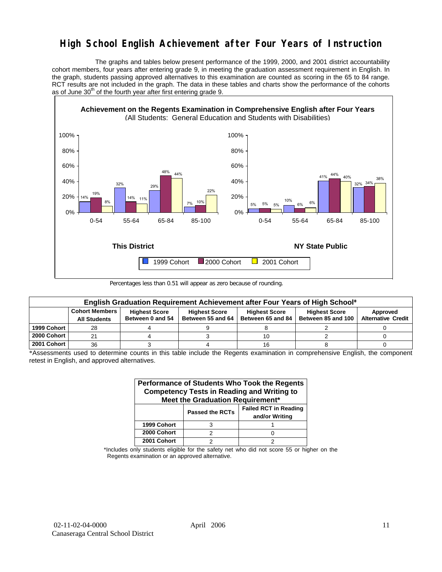## **High School English Achievement after Four Years of Instruction**

 The graphs and tables below present performance of the 1999, 2000, and 2001 district accountability cohort members, four years after entering grade 9, in meeting the graduation assessment requirement in English. In the graph, students passing approved alternatives to this examination are counted as scoring in the 65 to 84 range. RCT results are not included in the graph. The data in these tables and charts show the performance of the cohorts as of June  $30<sup>th</sup>$  of the fourth year after first entering grade 9.



Percentages less than 0.51 will appear as zero because of rounding.

| English Graduation Requirement Achievement after Four Years of High School* |                                              |                                          |                                           |                                           |                                            |                                       |  |  |  |  |  |
|-----------------------------------------------------------------------------|----------------------------------------------|------------------------------------------|-------------------------------------------|-------------------------------------------|--------------------------------------------|---------------------------------------|--|--|--|--|--|
|                                                                             | <b>Cohort Members</b><br><b>All Students</b> | <b>Highest Score</b><br>Between 0 and 54 | <b>Highest Score</b><br>Between 55 and 64 | <b>Highest Score</b><br>Between 65 and 84 | <b>Highest Score</b><br>Between 85 and 100 | Approved<br><b>Alternative Credit</b> |  |  |  |  |  |
| 1999 Cohort                                                                 | 28                                           |                                          |                                           |                                           |                                            |                                       |  |  |  |  |  |
| 2000 Cohort                                                                 | 21                                           |                                          |                                           | 10                                        |                                            |                                       |  |  |  |  |  |
| 2001 Cohort                                                                 | 36                                           |                                          |                                           | 16                                        |                                            |                                       |  |  |  |  |  |

\*Assessments used to determine counts in this table include the Regents examination in comprehensive English, the component retest in English, and approved alternatives.

| Performance of Students Who Took the Regents<br><b>Competency Tests in Reading and Writing to</b><br>Meet the Graduation Requirement* |                        |                                                |  |  |  |  |  |  |  |
|---------------------------------------------------------------------------------------------------------------------------------------|------------------------|------------------------------------------------|--|--|--|--|--|--|--|
|                                                                                                                                       | <b>Passed the RCTs</b> | <b>Failed RCT in Reading</b><br>and/or Writing |  |  |  |  |  |  |  |
| 1999 Cohort                                                                                                                           | з                      |                                                |  |  |  |  |  |  |  |
| 2000 Cohort                                                                                                                           | っ                      |                                                |  |  |  |  |  |  |  |
| 2001 Cohort                                                                                                                           |                        |                                                |  |  |  |  |  |  |  |

\*Includes only students eligible for the safety net who did not score 55 or higher on the Regents examination or an approved alternative.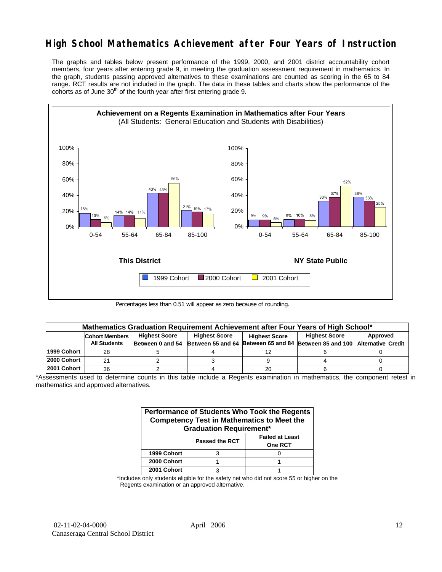## **High School Mathematics Achievement after Four Years of Instruction**

The graphs and tables below present performance of the 1999, 2000, and 2001 district accountability cohort members, four years after entering grade 9, in meeting the graduation assessment requirement in mathematics. In the graph, students passing approved alternatives to these examinations are counted as scoring in the 65 to 84 range. RCT results are not included in the graph. The data in these tables and charts show the performance of the cohorts as of June  $30<sup>th</sup>$  of the fourth year after first entering grade 9.



Percentages less than 0.51 will appear as zero because of rounding.

|             | Mathematics Graduation Requirement Achievement after Four Years of High School* |                      |                      |                      |                                                                                            |          |  |  |  |  |  |
|-------------|---------------------------------------------------------------------------------|----------------------|----------------------|----------------------|--------------------------------------------------------------------------------------------|----------|--|--|--|--|--|
|             | <b>Cohort Members</b>                                                           | <b>Highest Score</b> | <b>Highest Score</b> | <b>Highest Score</b> | <b>Highest Score</b>                                                                       | Approved |  |  |  |  |  |
|             | <b>All Students</b>                                                             |                      |                      |                      | Between 0 and 54 Between 55 and 64 Between 65 and 84 Between 85 and 100 Alternative Credit |          |  |  |  |  |  |
| 1999 Cohort | 28                                                                              |                      |                      | 12                   |                                                                                            |          |  |  |  |  |  |
| 2000 Cohort |                                                                                 |                      |                      |                      |                                                                                            |          |  |  |  |  |  |
| 2001 Cohort | 36                                                                              |                      |                      | 20                   |                                                                                            |          |  |  |  |  |  |

\*Assessments used to determine counts in this table include a Regents examination in mathematics, the component retest in mathematics and approved alternatives.

| Performance of Students Who Took the Regents<br><b>Competency Test in Mathematics to Meet the</b><br><b>Graduation Requirement*</b> |                       |                                          |  |  |  |  |  |  |
|-------------------------------------------------------------------------------------------------------------------------------------|-----------------------|------------------------------------------|--|--|--|--|--|--|
|                                                                                                                                     | <b>Passed the RCT</b> | <b>Failed at Least</b><br><b>One RCT</b> |  |  |  |  |  |  |
| 1999 Cohort                                                                                                                         |                       |                                          |  |  |  |  |  |  |
| 2000 Cohort                                                                                                                         |                       |                                          |  |  |  |  |  |  |
| 2001 Cohort                                                                                                                         |                       |                                          |  |  |  |  |  |  |

\*Includes only students eligible for the safety net who did not score 55 or higher on the Regents examination or an approved alternative.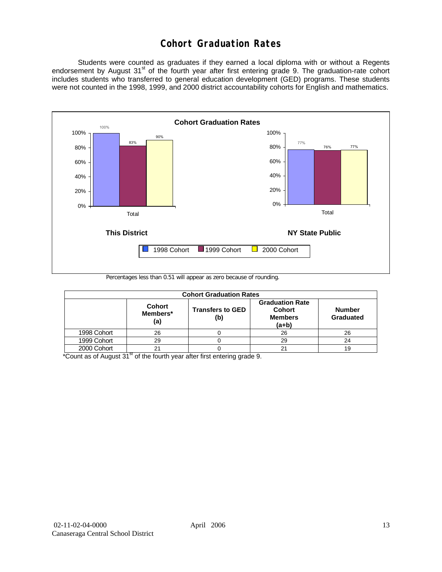## **Cohort Graduation Rates**

 Students were counted as graduates if they earned a local diploma with or without a Regents endorsement by August 31<sup>st</sup> of the fourth year after first entering grade 9. The graduation-rate cohort includes students who transferred to general education development (GED) programs. These students were not counted in the 1998, 1999, and 2000 district accountability cohorts for English and mathematics.



Percentages less than 0.51 will appear as zero because of rounding.

| <b>Cohort Graduation Rates</b> |                                  |                                |                                                                      |                            |  |  |  |  |  |  |
|--------------------------------|----------------------------------|--------------------------------|----------------------------------------------------------------------|----------------------------|--|--|--|--|--|--|
|                                | <b>Cohort</b><br>Members*<br>(a) | <b>Transfers to GED</b><br>(b) | <b>Graduation Rate</b><br><b>Cohort</b><br><b>Members</b><br>$(a+b)$ | <b>Number</b><br>Graduated |  |  |  |  |  |  |
| 1998 Cohort                    | 26                               |                                | 26                                                                   | 26                         |  |  |  |  |  |  |
| 1999 Cohort                    | 29                               |                                | 29                                                                   | 24                         |  |  |  |  |  |  |
| 2000 Cohort                    | 21                               |                                | 21                                                                   | 19                         |  |  |  |  |  |  |

 $*$ Count as of August 31 $*$  of the fourth year after first entering grade 9.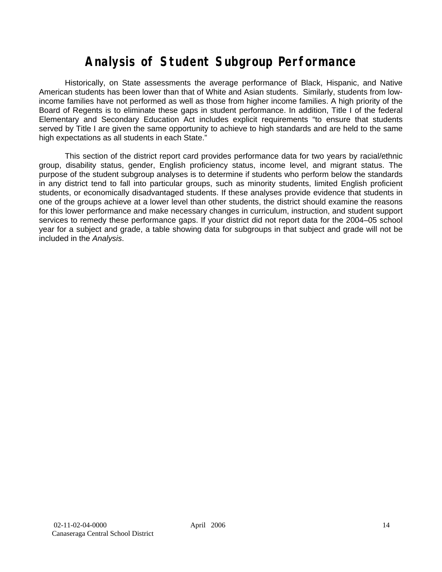# **Analysis of Student Subgroup Performance**

Historically, on State assessments the average performance of Black, Hispanic, and Native American students has been lower than that of White and Asian students. Similarly, students from lowincome families have not performed as well as those from higher income families. A high priority of the Board of Regents is to eliminate these gaps in student performance. In addition, Title I of the federal Elementary and Secondary Education Act includes explicit requirements "to ensure that students served by Title I are given the same opportunity to achieve to high standards and are held to the same high expectations as all students in each State."

This section of the district report card provides performance data for two years by racial/ethnic group, disability status, gender, English proficiency status, income level, and migrant status. The purpose of the student subgroup analyses is to determine if students who perform below the standards in any district tend to fall into particular groups, such as minority students, limited English proficient students, or economically disadvantaged students. If these analyses provide evidence that students in one of the groups achieve at a lower level than other students, the district should examine the reasons for this lower performance and make necessary changes in curriculum, instruction, and student support services to remedy these performance gaps. If your district did not report data for the 2004–05 school year for a subject and grade, a table showing data for subgroups in that subject and grade will not be included in the *Analysis*.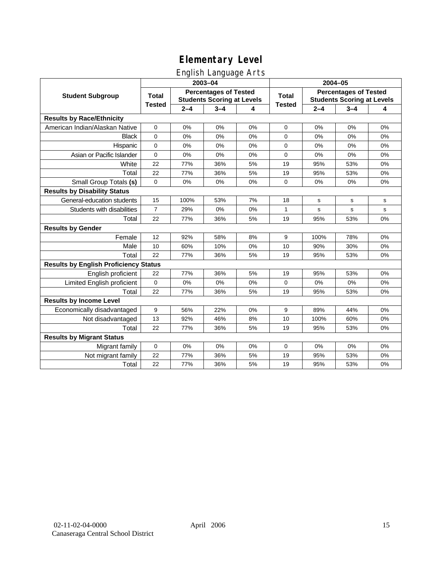## English Language Arts

|                                              |                |         | ັ<br>2003-04                                                      |    | 2004-05       |         |                                                                   |       |  |
|----------------------------------------------|----------------|---------|-------------------------------------------------------------------|----|---------------|---------|-------------------------------------------------------------------|-------|--|
| <b>Student Subgroup</b>                      | <b>Total</b>   |         | <b>Percentages of Tested</b><br><b>Students Scoring at Levels</b> |    | <b>Total</b>  |         | <b>Percentages of Tested</b><br><b>Students Scoring at Levels</b> |       |  |
|                                              | <b>Tested</b>  | $2 - 4$ | $3 - 4$                                                           | 4  | <b>Tested</b> | $2 - 4$ | $3 - 4$                                                           | 4     |  |
| <b>Results by Race/Ethnicity</b>             |                |         |                                                                   |    |               |         |                                                                   |       |  |
| American Indian/Alaskan Native               | 0              | 0%      | 0%                                                                | 0% | $\mathbf 0$   | 0%      | 0%                                                                | 0%    |  |
| <b>Black</b>                                 | 0              | 0%      | 0%                                                                | 0% | 0             | 0%      | 0%                                                                | 0%    |  |
| Hispanic                                     | 0              | 0%      | 0%                                                                | 0% | 0             | 0%      | 0%                                                                | 0%    |  |
| Asian or Pacific Islander                    | 0              | 0%      | 0%                                                                | 0% | 0             | 0%      | 0%                                                                | 0%    |  |
| White                                        | 22             | 77%     | 36%                                                               | 5% | 19            | 95%     | 53%                                                               | 0%    |  |
| Total                                        | 22             | 77%     | 36%                                                               | 5% | 19            | 95%     | 53%                                                               | 0%    |  |
| Small Group Totals (s)                       | 0              | 0%      | 0%                                                                | 0% | 0             | 0%      | 0%                                                                | 0%    |  |
| <b>Results by Disability Status</b>          |                |         |                                                                   |    |               |         |                                                                   |       |  |
| General-education students                   | 15             | 100%    | 53%                                                               | 7% | 18            | s       | s                                                                 | s     |  |
| Students with disabilities                   | $\overline{7}$ | 29%     | 0%                                                                | 0% | $\mathbf{1}$  | s       | s                                                                 | s     |  |
| Total                                        | 22             | 77%     | 36%                                                               | 5% | 19            | 95%     | 53%                                                               | $0\%$ |  |
| <b>Results by Gender</b>                     |                |         |                                                                   |    |               |         |                                                                   |       |  |
| Female                                       | 12             | 92%     | 58%                                                               | 8% | 9             | 100%    | 78%                                                               | 0%    |  |
| Male                                         | 10             | 60%     | 10%                                                               | 0% | 10            | 90%     | 30%                                                               | 0%    |  |
| Total                                        | 22             | 77%     | 36%                                                               | 5% | 19            | 95%     | 53%                                                               | 0%    |  |
| <b>Results by English Proficiency Status</b> |                |         |                                                                   |    |               |         |                                                                   |       |  |
| English proficient                           | 22             | 77%     | 36%                                                               | 5% | 19            | 95%     | 53%                                                               | 0%    |  |
| Limited English proficient                   | $\mathbf 0$    | 0%      | 0%                                                                | 0% | 0             | 0%      | 0%                                                                | 0%    |  |
| Total                                        | 22             | 77%     | 36%                                                               | 5% | 19            | 95%     | 53%                                                               | 0%    |  |
| <b>Results by Income Level</b>               |                |         |                                                                   |    |               |         |                                                                   |       |  |
| Economically disadvantaged                   | 9              | 56%     | 22%                                                               | 0% | 9             | 89%     | 44%                                                               | 0%    |  |
| Not disadvantaged                            | 13             | 92%     | 46%                                                               | 8% | 10            | 100%    | 60%                                                               | 0%    |  |
| Total                                        | 22             | 77%     | 36%                                                               | 5% | 19            | 95%     | 53%                                                               | 0%    |  |
| <b>Results by Migrant Status</b>             |                |         |                                                                   |    |               |         |                                                                   |       |  |
| Migrant family                               | $\mathbf 0$    | 0%      | 0%                                                                | 0% | 0             | 0%      | 0%                                                                | 0%    |  |
| Not migrant family                           | 22             | 77%     | 36%                                                               | 5% | 19            | 95%     | 53%                                                               | 0%    |  |
| Total                                        | 22             | 77%     | 36%                                                               | 5% | 19            | 95%     | 53%                                                               | 0%    |  |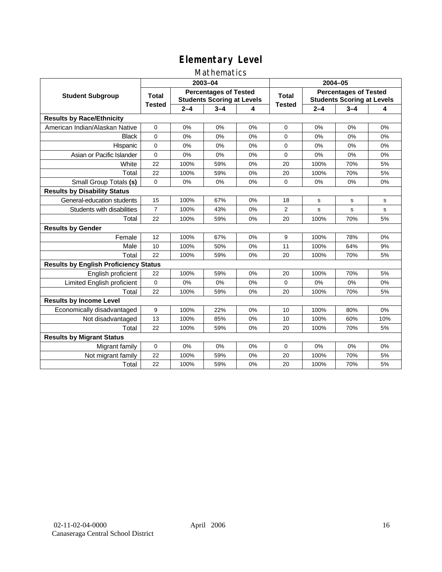### Mathematics

|                                              |                |         | 2003-04                                                           |    | 2004-05        |         |                                                                   |             |
|----------------------------------------------|----------------|---------|-------------------------------------------------------------------|----|----------------|---------|-------------------------------------------------------------------|-------------|
| <b>Student Subgroup</b>                      | <b>Total</b>   |         | <b>Percentages of Tested</b><br><b>Students Scoring at Levels</b> |    | Total          |         | <b>Percentages of Tested</b><br><b>Students Scoring at Levels</b> |             |
|                                              | <b>Tested</b>  | $2 - 4$ | $3 - 4$                                                           | 4  | <b>Tested</b>  | $2 - 4$ | $3 - 4$                                                           | 4           |
| <b>Results by Race/Ethnicity</b>             |                |         |                                                                   |    |                |         |                                                                   |             |
| American Indian/Alaskan Native               | $\mathbf{0}$   | 0%      | 0%                                                                | 0% | $\mathbf 0$    | 0%      | 0%                                                                | 0%          |
| <b>Black</b>                                 | $\Omega$       | 0%      | 0%                                                                | 0% | $\Omega$       | 0%      | 0%                                                                | 0%          |
| Hispanic                                     | $\Omega$       | 0%      | 0%                                                                | 0% | $\mathbf 0$    | 0%      | 0%                                                                | 0%          |
| Asian or Pacific Islander                    | $\mathbf{0}$   | 0%      | 0%                                                                | 0% | $\mathbf 0$    | 0%      | 0%                                                                | 0%          |
| White                                        | 22             | 100%    | 59%                                                               | 0% | 20             | 100%    | 70%                                                               | 5%          |
| Total                                        | 22             | 100%    | 59%                                                               | 0% | 20             | 100%    | 70%                                                               | 5%          |
| Small Group Totals (s)                       | $\mathbf 0$    | 0%      | 0%                                                                | 0% | $\Omega$       | 0%      | 0%                                                                | 0%          |
| <b>Results by Disability Status</b>          |                |         |                                                                   |    |                |         |                                                                   |             |
| General-education students                   | 15             | 100%    | 67%                                                               | 0% | 18             | s       | s                                                                 | s           |
| Students with disabilities                   | $\overline{7}$ | 100%    | 43%                                                               | 0% | $\overline{2}$ | s       | s                                                                 | $\mathbf s$ |
| Total                                        | 22             | 100%    | 59%                                                               | 0% | 20             | 100%    | 70%                                                               | 5%          |
| <b>Results by Gender</b>                     |                |         |                                                                   |    |                |         |                                                                   |             |
| Female                                       | 12             | 100%    | 67%                                                               | 0% | 9              | 100%    | 78%                                                               | 0%          |
| Male                                         | 10             | 100%    | 50%                                                               | 0% | 11             | 100%    | 64%                                                               | 9%          |
| Total                                        | 22             | 100%    | 59%                                                               | 0% | 20             | 100%    | 70%                                                               | 5%          |
| <b>Results by English Proficiency Status</b> |                |         |                                                                   |    |                |         |                                                                   |             |
| English proficient                           | 22             | 100%    | 59%                                                               | 0% | 20             | 100%    | 70%                                                               | 5%          |
| Limited English proficient                   | 0              | 0%      | 0%                                                                | 0% | $\mathbf 0$    | 0%      | 0%                                                                | 0%          |
| Total                                        | 22             | 100%    | 59%                                                               | 0% | 20             | 100%    | 70%                                                               | 5%          |
| <b>Results by Income Level</b>               |                |         |                                                                   |    |                |         |                                                                   |             |
| Economically disadvantaged                   | 9              | 100%    | 22%                                                               | 0% | 10             | 100%    | 80%                                                               | 0%          |
| Not disadvantaged                            | 13             | 100%    | 85%                                                               | 0% | 10             | 100%    | 60%                                                               | 10%         |
| Total                                        | 22             | 100%    | 59%                                                               | 0% | 20             | 100%    | 70%                                                               | 5%          |
| <b>Results by Migrant Status</b>             |                |         |                                                                   |    |                |         |                                                                   |             |
| Migrant family                               | 0              | 0%      | 0%                                                                | 0% | 0              | 0%      | 0%                                                                | 0%          |
| Not migrant family                           | 22             | 100%    | 59%                                                               | 0% | 20             | 100%    | 70%                                                               | 5%          |
| Total                                        | 22             | 100%    | 59%                                                               | 0% | 20             | 100%    | 70%                                                               | 5%          |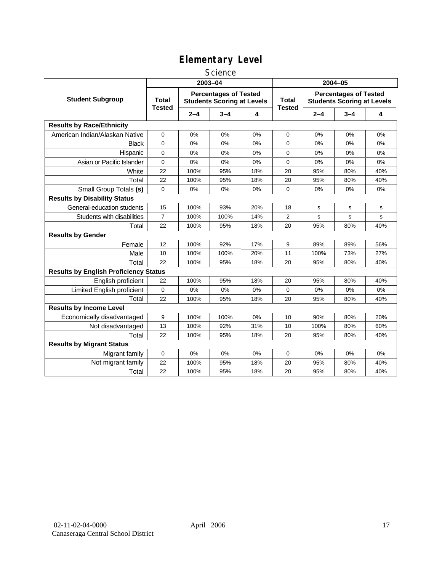#### **Science**

|                                              | 2003-04                |         |                                                                   |     | 2004-05                       |         |                                                                   |     |
|----------------------------------------------|------------------------|---------|-------------------------------------------------------------------|-----|-------------------------------|---------|-------------------------------------------------------------------|-----|
| <b>Student Subgroup</b>                      | Total<br><b>Tested</b> |         | <b>Percentages of Tested</b><br><b>Students Scoring at Levels</b> |     | <b>Total</b><br><b>Tested</b> |         | <b>Percentages of Tested</b><br><b>Students Scoring at Levels</b> |     |
|                                              |                        | $2 - 4$ | $3 - 4$                                                           | 4   |                               | $2 - 4$ | $3 - 4$                                                           | 4   |
| <b>Results by Race/Ethnicity</b>             |                        |         |                                                                   |     |                               |         |                                                                   |     |
| American Indian/Alaskan Native               | 0                      | 0%      | 0%                                                                | 0%  | 0                             | 0%      | 0%                                                                | 0%  |
| <b>Black</b>                                 | $\Omega$               | 0%      | 0%                                                                | 0%  | $\Omega$                      | 0%      | 0%                                                                | 0%  |
| Hispanic                                     | $\mathbf 0$            | 0%      | 0%                                                                | 0%  | $\mathbf 0$                   | 0%      | 0%                                                                | 0%  |
| Asian or Pacific Islander                    | $\mathbf 0$            | 0%      | 0%                                                                | 0%  | $\Omega$                      | 0%      | 0%                                                                | 0%  |
| White                                        | 22                     | 100%    | 95%                                                               | 18% | 20                            | 95%     | 80%                                                               | 40% |
| Total                                        | 22                     | 100%    | 95%                                                               | 18% | 20                            | 95%     | 80%                                                               | 40% |
| Small Group Totals (s)                       | 0                      | 0%      | 0%                                                                | 0%  | $\mathbf 0$                   | 0%      | 0%                                                                | 0%  |
| <b>Results by Disability Status</b>          |                        |         |                                                                   |     |                               |         |                                                                   |     |
| General-education students                   | 15                     | 100%    | 93%                                                               | 20% | 18                            | s       | s                                                                 | s   |
| Students with disabilities                   | $\overline{7}$         | 100%    | 100%                                                              | 14% | 2                             | s       | s                                                                 | s   |
| Total                                        | 22                     | 100%    | 95%                                                               | 18% | 20                            | 95%     | 80%                                                               | 40% |
| <b>Results by Gender</b>                     |                        |         |                                                                   |     |                               |         |                                                                   |     |
| Female                                       | 12                     | 100%    | 92%                                                               | 17% | 9                             | 89%     | 89%                                                               | 56% |
| Male                                         | 10                     | 100%    | 100%                                                              | 20% | 11                            | 100%    | 73%                                                               | 27% |
| Total                                        | 22                     | 100%    | 95%                                                               | 18% | 20                            | 95%     | 80%                                                               | 40% |
| <b>Results by English Proficiency Status</b> |                        |         |                                                                   |     |                               |         |                                                                   |     |
| English proficient                           | 22                     | 100%    | 95%                                                               | 18% | 20                            | 95%     | 80%                                                               | 40% |
| Limited English proficient                   | 0                      | 0%      | 0%                                                                | 0%  | $\mathbf 0$                   | 0%      | 0%                                                                | 0%  |
| Total                                        | 22                     | 100%    | 95%                                                               | 18% | 20                            | 95%     | 80%                                                               | 40% |
| <b>Results by Income Level</b>               |                        |         |                                                                   |     |                               |         |                                                                   |     |
| Economically disadvantaged                   | 9                      | 100%    | 100%                                                              | 0%  | 10                            | 90%     | 80%                                                               | 20% |
| Not disadvantaged                            | 13                     | 100%    | 92%                                                               | 31% | 10                            | 100%    | 80%                                                               | 60% |
| Total                                        | 22                     | 100%    | 95%                                                               | 18% | 20                            | 95%     | 80%                                                               | 40% |
| <b>Results by Migrant Status</b>             |                        |         |                                                                   |     |                               |         |                                                                   |     |
| Migrant family                               | 0                      | 0%      | 0%                                                                | 0%  | $\mathbf 0$                   | 0%      | 0%                                                                | 0%  |
| Not migrant family                           | 22                     | 100%    | 95%                                                               | 18% | 20                            | 95%     | 80%                                                               | 40% |
| Total                                        | 22                     | 100%    | 95%                                                               | 18% | 20                            | 95%     | 80%                                                               | 40% |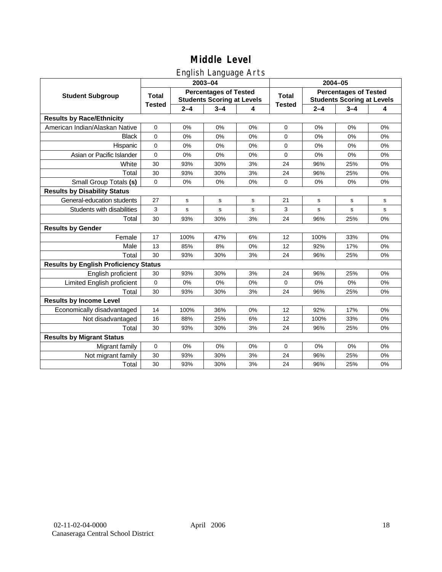## English Language Arts

|                                              |               |         | ັ<br>2003-04                                                      |    |               |         | 2004-05                                                           |             |
|----------------------------------------------|---------------|---------|-------------------------------------------------------------------|----|---------------|---------|-------------------------------------------------------------------|-------------|
| <b>Student Subgroup</b>                      | <b>Total</b>  |         | <b>Percentages of Tested</b><br><b>Students Scoring at Levels</b> |    | <b>Total</b>  |         | <b>Percentages of Tested</b><br><b>Students Scoring at Levels</b> |             |
|                                              | <b>Tested</b> | $2 - 4$ | $3 - 4$                                                           | 4  | <b>Tested</b> | $2 - 4$ | $3 - 4$                                                           | 4           |
| <b>Results by Race/Ethnicity</b>             |               |         |                                                                   |    |               |         |                                                                   |             |
| American Indian/Alaskan Native               | $\mathbf 0$   | 0%      | 0%                                                                | 0% | $\mathbf 0$   | 0%      | 0%                                                                | 0%          |
| <b>Black</b>                                 | 0             | 0%      | 0%                                                                | 0% | $\mathbf 0$   | 0%      | 0%                                                                | 0%          |
| Hispanic                                     | $\Omega$      | 0%      | 0%                                                                | 0% | $\Omega$      | 0%      | 0%                                                                | 0%          |
| Asian or Pacific Islander                    | 0             | 0%      | 0%                                                                | 0% | 0             | 0%      | 0%                                                                | 0%          |
| White                                        | 30            | 93%     | 30%                                                               | 3% | 24            | 96%     | 25%                                                               | 0%          |
| Total                                        | 30            | 93%     | 30%                                                               | 3% | 24            | 96%     | 25%                                                               | 0%          |
| Small Group Totals (s)                       | 0             | 0%      | 0%                                                                | 0% | 0             | 0%      | 0%                                                                | 0%          |
| <b>Results by Disability Status</b>          |               |         |                                                                   |    |               |         |                                                                   |             |
| General-education students                   | 27            | s       | s                                                                 | s  | 21            | s       | s                                                                 | s           |
| Students with disabilities                   | 3             | s       | s                                                                 | s  | 3             | s       | s                                                                 | $\mathbf s$ |
| Total                                        | 30            | 93%     | 30%                                                               | 3% | 24            | 96%     | 25%                                                               | 0%          |
| <b>Results by Gender</b>                     |               |         |                                                                   |    |               |         |                                                                   |             |
| Female                                       | 17            | 100%    | 47%                                                               | 6% | 12            | 100%    | 33%                                                               | 0%          |
| Male                                         | 13            | 85%     | 8%                                                                | 0% | 12            | 92%     | 17%                                                               | 0%          |
| Total                                        | 30            | 93%     | 30%                                                               | 3% | 24            | 96%     | 25%                                                               | 0%          |
| <b>Results by English Proficiency Status</b> |               |         |                                                                   |    |               |         |                                                                   |             |
| English proficient                           | 30            | 93%     | 30%                                                               | 3% | 24            | 96%     | 25%                                                               | 0%          |
| Limited English proficient                   | 0             | 0%      | 0%                                                                | 0% | $\mathbf 0$   | 0%      | 0%                                                                | 0%          |
| Total                                        | 30            | 93%     | 30%                                                               | 3% | 24            | 96%     | 25%                                                               | 0%          |
| <b>Results by Income Level</b>               |               |         |                                                                   |    |               |         |                                                                   |             |
| Economically disadvantaged                   | 14            | 100%    | 36%                                                               | 0% | 12            | 92%     | 17%                                                               | 0%          |
| Not disadvantaged                            | 16            | 88%     | 25%                                                               | 6% | 12            | 100%    | 33%                                                               | 0%          |
| Total                                        | 30            | 93%     | 30%                                                               | 3% | 24            | 96%     | 25%                                                               | 0%          |
| <b>Results by Migrant Status</b>             |               |         |                                                                   |    |               |         |                                                                   |             |
| Migrant family                               | 0             | 0%      | 0%                                                                | 0% | $\mathbf 0$   | 0%      | 0%                                                                | 0%          |
| Not migrant family                           | 30            | 93%     | 30%                                                               | 3% | 24            | 96%     | 25%                                                               | 0%          |
| Total                                        | 30            | 93%     | 30%                                                               | 3% | 24            | 96%     | 25%                                                               | 0%          |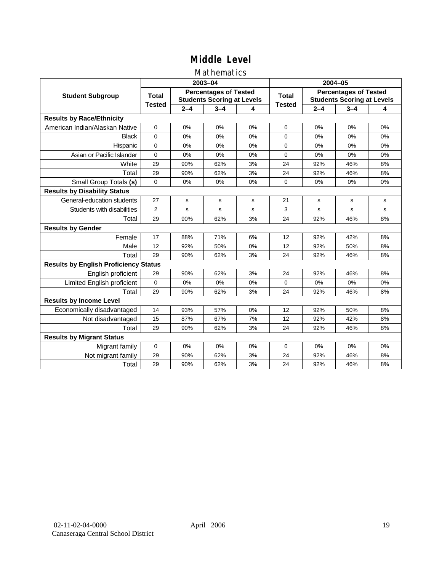### Mathematics

|                                              |                |         | 2003-04                                                           |    | 2004-05       |         |                                                                   |    |
|----------------------------------------------|----------------|---------|-------------------------------------------------------------------|----|---------------|---------|-------------------------------------------------------------------|----|
| <b>Student Subgroup</b>                      | <b>Total</b>   |         | <b>Percentages of Tested</b><br><b>Students Scoring at Levels</b> |    | <b>Total</b>  |         | <b>Percentages of Tested</b><br><b>Students Scoring at Levels</b> |    |
|                                              | <b>Tested</b>  | $2 - 4$ | $3 - 4$                                                           | 4  | <b>Tested</b> | $2 - 4$ | $3 - 4$                                                           | 4  |
| <b>Results by Race/Ethnicity</b>             |                |         |                                                                   |    |               |         |                                                                   |    |
| American Indian/Alaskan Native               | $\mathbf{0}$   | 0%      | 0%                                                                | 0% | $\Omega$      | 0%      | 0%                                                                | 0% |
| <b>Black</b>                                 | $\Omega$       | 0%      | 0%                                                                | 0% | $\Omega$      | 0%      | 0%                                                                | 0% |
| Hispanic                                     | $\mathbf 0$    | 0%      | 0%                                                                | 0% | $\Omega$      | 0%      | 0%                                                                | 0% |
| Asian or Pacific Islander                    | 0              | 0%      | 0%                                                                | 0% | 0             | 0%      | 0%                                                                | 0% |
| White                                        | 29             | 90%     | 62%                                                               | 3% | 24            | 92%     | 46%                                                               | 8% |
| Total                                        | 29             | 90%     | 62%                                                               | 3% | 24            | 92%     | 46%                                                               | 8% |
| Small Group Totals (s)                       | 0              | 0%      | 0%                                                                | 0% | $\Omega$      | 0%      | 0%                                                                | 0% |
| <b>Results by Disability Status</b>          |                |         |                                                                   |    |               |         |                                                                   |    |
| General-education students                   | 27             | s       | s                                                                 | s  | 21            | s       | s                                                                 | s  |
| Students with disabilities                   | $\overline{2}$ | s       | s                                                                 | s  | 3             | s       | s                                                                 | s  |
| Total                                        | 29             | 90%     | 62%                                                               | 3% | 24            | 92%     | 46%                                                               | 8% |
| <b>Results by Gender</b>                     |                |         |                                                                   |    |               |         |                                                                   |    |
| Female                                       | 17             | 88%     | 71%                                                               | 6% | 12            | 92%     | 42%                                                               | 8% |
| Male                                         | 12             | 92%     | 50%                                                               | 0% | 12            | 92%     | 50%                                                               | 8% |
| Total                                        | 29             | 90%     | 62%                                                               | 3% | 24            | 92%     | 46%                                                               | 8% |
| <b>Results by English Proficiency Status</b> |                |         |                                                                   |    |               |         |                                                                   |    |
| English proficient                           | 29             | 90%     | 62%                                                               | 3% | 24            | 92%     | 46%                                                               | 8% |
| Limited English proficient                   | 0              | 0%      | 0%                                                                | 0% | $\Omega$      | 0%      | 0%                                                                | 0% |
| Total                                        | 29             | 90%     | 62%                                                               | 3% | 24            | 92%     | 46%                                                               | 8% |
| <b>Results by Income Level</b>               |                |         |                                                                   |    |               |         |                                                                   |    |
| Economically disadvantaged                   | 14             | 93%     | 57%                                                               | 0% | 12            | 92%     | 50%                                                               | 8% |
| Not disadvantaged                            | 15             | 87%     | 67%                                                               | 7% | 12            | 92%     | 42%                                                               | 8% |
| Total                                        | 29             | 90%     | 62%                                                               | 3% | 24            | 92%     | 46%                                                               | 8% |
| <b>Results by Migrant Status</b>             |                |         |                                                                   |    |               |         |                                                                   |    |
| Migrant family                               | 0              | 0%      | 0%                                                                | 0% | $\Omega$      | 0%      | 0%                                                                | 0% |
| Not migrant family                           | 29             | 90%     | 62%                                                               | 3% | 24            | 92%     | 46%                                                               | 8% |
| Total                                        | 29             | 90%     | 62%                                                               | 3% | 24            | 92%     | 46%                                                               | 8% |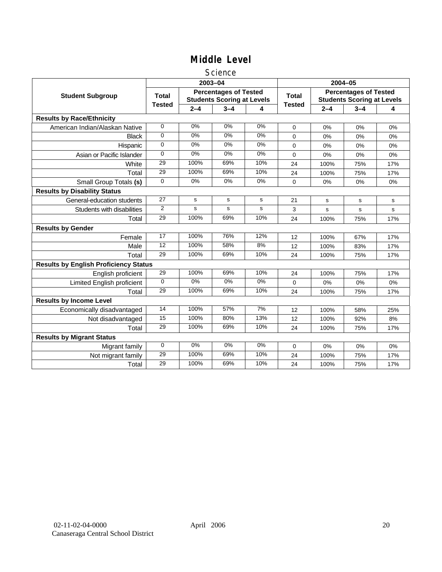#### **Science**

|                                              |               |         | 2003-04                                                           |       | 2004-05       |         |                                                                   |     |
|----------------------------------------------|---------------|---------|-------------------------------------------------------------------|-------|---------------|---------|-------------------------------------------------------------------|-----|
| <b>Student Subgroup</b>                      | <b>Total</b>  |         | <b>Percentages of Tested</b><br><b>Students Scoring at Levels</b> |       | <b>Total</b>  |         | <b>Percentages of Tested</b><br><b>Students Scoring at Levels</b> |     |
|                                              | <b>Tested</b> | $2 - 4$ | $3 - 4$                                                           | 4     | <b>Tested</b> | $2 - 4$ | $3 - 4$                                                           | 4   |
| <b>Results by Race/Ethnicity</b>             |               |         |                                                                   |       |               |         |                                                                   |     |
| American Indian/Alaskan Native               | $\mathbf 0$   | 0%      | 0%                                                                | 0%    | $\Omega$      | 0%      | 0%                                                                | 0%  |
| <b>Black</b>                                 | 0             | 0%      | 0%                                                                | 0%    | $\Omega$      | 0%      | 0%                                                                | 0%  |
| Hispanic                                     | 0             | 0%      | 0%                                                                | 0%    | $\Omega$      | 0%      | 0%                                                                | 0%  |
| Asian or Pacific Islander                    | $\Omega$      | 0%      | 0%                                                                | $0\%$ | 0             | 0%      | 0%                                                                | 0%  |
| White                                        | 29            | 100%    | 69%                                                               | 10%   | 24            | 100%    | 75%                                                               | 17% |
| Total                                        | 29            | 100%    | 69%                                                               | 10%   | 24            | 100%    | 75%                                                               | 17% |
| Small Group Totals (s)                       | $\Omega$      | 0%      | 0%                                                                | 0%    | $\Omega$      | 0%      | 0%                                                                | 0%  |
| <b>Results by Disability Status</b>          |               |         |                                                                   |       |               |         |                                                                   |     |
| General-education students                   | 27            | s       | s                                                                 | s     | 21            | s       | s                                                                 | s   |
| Students with disabilities                   | 2             | s       | s                                                                 | s     | 3             | s       | s                                                                 | s   |
| Total                                        | 29            | 100%    | 69%                                                               | 10%   | 24            | 100%    | 75%                                                               | 17% |
| <b>Results by Gender</b>                     |               |         |                                                                   |       |               |         |                                                                   |     |
| Female                                       | 17            | 100%    | 76%                                                               | 12%   | 12            | 100%    | 67%                                                               | 17% |
| Male                                         | 12            | 100%    | 58%                                                               | 8%    | 12            | 100%    | 83%                                                               | 17% |
| Total                                        | 29            | 100%    | 69%                                                               | 10%   | 24            | 100%    | 75%                                                               | 17% |
| <b>Results by English Proficiency Status</b> |               |         |                                                                   |       |               |         |                                                                   |     |
| English proficient                           | 29            | 100%    | 69%                                                               | 10%   | 24            | 100%    | 75%                                                               | 17% |
| Limited English proficient                   | $\Omega$      | $0\%$   | 0%                                                                | 0%    | 0             | 0%      | 0%                                                                | 0%  |
| Total                                        | 29            | 100%    | 69%                                                               | 10%   | 24            | 100%    | 75%                                                               | 17% |
| <b>Results by Income Level</b>               |               |         |                                                                   |       |               |         |                                                                   |     |
| Economically disadvantaged                   | 14            | 100%    | 57%                                                               | 7%    | 12            | 100%    | 58%                                                               | 25% |
| Not disadvantaged                            | 15            | 100%    | 80%                                                               | 13%   | 12            | 100%    | 92%                                                               | 8%  |
| Total                                        | 29            | 100%    | 69%                                                               | 10%   | 24            | 100%    | 75%                                                               | 17% |
| <b>Results by Migrant Status</b>             |               |         |                                                                   |       |               |         |                                                                   |     |
| Migrant family                               | $\mathbf 0$   | 0%      | 0%                                                                | 0%    | 0             | 0%      | 0%                                                                | 0%  |
| Not migrant family                           | 29            | 100%    | 69%                                                               | 10%   | 24            | 100%    | 75%                                                               | 17% |
| Total                                        | 29            | 100%    | 69%                                                               | 10%   | 24            | 100%    | 75%                                                               | 17% |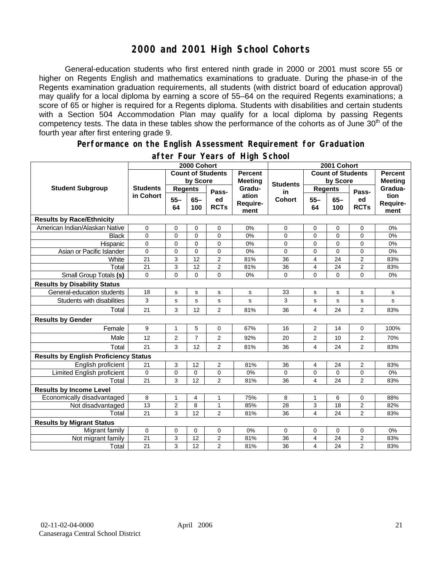## **2000 and 2001 High School Cohorts**

General-education students who first entered ninth grade in 2000 or 2001 must score 55 or higher on Regents English and mathematics examinations to graduate. During the phase-in of the Regents examination graduation requirements, all students (with district board of education approval) may qualify for a local diploma by earning a score of 55–64 on the required Regents examinations; a score of 65 or higher is required for a Regents diploma. Students with disabilities and certain students with a Section 504 Accommodation Plan may qualify for a local diploma by passing Regents competency tests. The data in these tables show the performance of the cohorts as of June  $30<sup>th</sup>$  of the fourth year after first entering grade 9.

#### **Performance on the English Assessment Requirement for Graduation**

|                                              | 2000 Cohort                  |                          |                |                |                                  | 2001 Cohort                                |                         |                |                |                  |
|----------------------------------------------|------------------------------|--------------------------|----------------|----------------|----------------------------------|--------------------------------------------|-------------------------|----------------|----------------|------------------|
| <b>Student Subgroup</b>                      |                              | <b>Count of Students</b> |                |                | <b>Percent</b><br><b>Meeting</b> | <b>Count of Students</b><br><b>Percent</b> |                         |                |                |                  |
|                                              | <b>Students</b><br>in Cohort | by Score                 |                |                |                                  | <b>Students</b>                            | by Score                |                |                | <b>Meeting</b>   |
|                                              |                              | <b>Regents</b>           |                | Pass-          | Gradu-                           | in                                         | <b>Regents</b>          |                | Pass-          | Gradua-          |
|                                              |                              | $55 -$                   | $65 -$         | ed             | ation<br>Require-                | <b>Cohort</b>                              | $55 -$                  | $65 -$         | ed             | tion<br>Require- |
|                                              |                              | 64                       | 100            | <b>RCTs</b>    | ment                             |                                            | 64                      | 100            | <b>RCTs</b>    | ment             |
| <b>Results by Race/Ethnicity</b>             |                              |                          |                |                |                                  |                                            |                         |                |                |                  |
| American Indian/Alaskan Native               | 0                            | $\mathbf 0$              | 0              | 0              | 0%                               | 0                                          | $\mathbf 0$             | 0              | 0              | 0%               |
| <b>Black</b>                                 | 0                            | $\mathbf 0$              | 0              | $\Omega$       | 0%                               | 0                                          | $\mathbf 0$             | $\Omega$       | $\Omega$       | 0%               |
| Hispanic                                     | 0                            | $\mathbf 0$              | $\mathbf{0}$   | $\Omega$       | 0%                               | 0                                          | $\mathbf 0$             | $\Omega$       | $\overline{0}$ | 0%               |
| Asian or Pacific Islander                    | 0                            | $\mathbf 0$              | $\overline{0}$ | $\mathbf 0$    | 0%                               | 0                                          | $\mathbf 0$             | $\overline{0}$ | 0              | 0%               |
| White                                        | 21                           | 3                        | 12             | $\overline{2}$ | 81%                              | 36                                         | $\overline{4}$          | 24             | $\overline{2}$ | 83%              |
| Total                                        | 21                           | 3                        | 12             | $\overline{2}$ | 81%                              | 36                                         | $\overline{4}$          | 24             | $\overline{2}$ | 83%              |
| Small Group Totals (s)                       | $\Omega$                     | $\overline{0}$           | $\mathbf{0}$   | $\Omega$       | 0%                               | $\mathbf 0$                                | $\overline{0}$          | $\Omega$       | $\overline{0}$ | 0%               |
| <b>Results by Disability Status</b>          |                              |                          |                |                |                                  |                                            |                         |                |                |                  |
| General-education students                   | 18                           | s                        | s              | s              | s                                | 33                                         | s                       | s              | s              | s                |
| Students with disabilities                   | 3                            | s                        | s              | s              | s                                | 3                                          | s                       | s              | s              | s                |
| Total                                        | 21                           | 3                        | 12             | $\overline{2}$ | 81%                              | 36                                         | $\overline{4}$          | 24             | 2              | 83%              |
| <b>Results by Gender</b>                     |                              |                          |                |                |                                  |                                            |                         |                |                |                  |
| Female                                       | 9                            | $\mathbf{1}$             | 5              | 0              | 67%                              | 16                                         | 2                       | 14             | 0              | 100%             |
| Male                                         | 12                           | $\overline{2}$           | $\overline{7}$ | $\overline{2}$ | 92%                              | 20                                         | $\overline{2}$          | 10             | $\overline{2}$ | 70%              |
| Total                                        | 21                           | 3                        | 12             | $\overline{2}$ | 81%                              | 36                                         | $\overline{4}$          | 24             | $\overline{2}$ | 83%              |
| <b>Results by English Proficiency Status</b> |                              |                          |                |                |                                  |                                            |                         |                |                |                  |
| English proficient                           | 21                           | 3                        | 12             | $\overline{2}$ | 81%                              | 36                                         | 4                       | 24             | 2              | 83%              |
| Limited English proficient                   | 0                            | $\mathbf 0$              | 0              | 0              | 0%                               | 0                                          | $\mathbf 0$             | 0              | 0              | 0%               |
| Total                                        | 21                           | 3                        | 12             | $\overline{2}$ | 81%                              | 36                                         | $\overline{\mathbf{4}}$ | 24             | $\overline{2}$ | 83%              |
| <b>Results by Income Level</b>               |                              |                          |                |                |                                  |                                            |                         |                |                |                  |
| Economically disadvantaged                   | 8                            | $\mathbf{1}$             | 4              | 1              | 75%                              | 8                                          | 1                       | 6              | 0              | 88%              |
| Not disadvantaged                            | 13                           | $\overline{2}$           | 8              | 1              | 85%                              | 28                                         | 3                       | 18             | 2              | 82%              |
| Total                                        | 21                           | 3                        | 12             | $\overline{2}$ | 81%                              | 36                                         | $\overline{\mathbf{4}}$ | 24             | $\overline{2}$ | 83%              |
| <b>Results by Migrant Status</b>             |                              |                          |                |                |                                  |                                            |                         |                |                |                  |
| Migrant family                               | 0                            | $\mathbf 0$              | $\mathbf 0$    | $\mathbf 0$    | 0%                               | 0                                          | 0                       | 0              | 0              | 0%               |
| Not migrant family                           | 21                           | 3                        | 12             | 2              | 81%                              | 36                                         | 4                       | 24             | 2              | 83%              |
| Total                                        | 21                           | 3                        | 12             | $\overline{2}$ | 81%                              | 36                                         | $\overline{4}$          | 24             | $\overline{2}$ | 83%              |

#### **after Four Years of High School**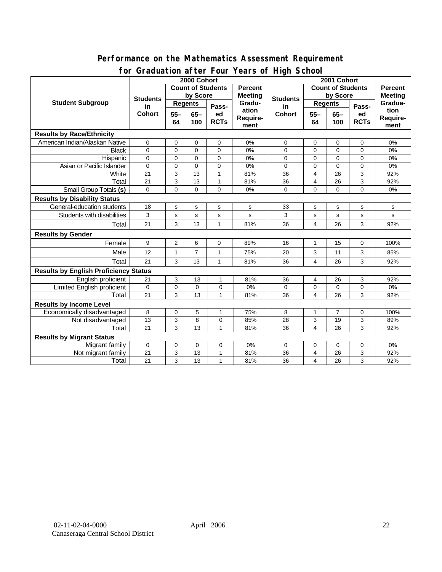#### **Performance on the Mathematics Assessment Requirement for Graduation after Four Years of High School**

|                                              | <u><b>Example 1999</b></u> Town Teams of The Concern<br>2000 Cohort |                |                |                                            |                   | 2001 Cohort              |                |                |                            |                |
|----------------------------------------------|---------------------------------------------------------------------|----------------|----------------|--------------------------------------------|-------------------|--------------------------|----------------|----------------|----------------------------|----------------|
| <b>Student Subgroup</b>                      | <b>Count of Students</b>                                            |                |                |                                            | <b>Percent</b>    | <b>Count of Students</b> |                |                | <b>Percent</b>             |                |
|                                              | <b>Students</b><br>in<br><b>Cohort</b>                              | by Score       |                |                                            | <b>Meeting</b>    |                          | by Score       |                |                            | <b>Meeting</b> |
|                                              |                                                                     | <b>Regents</b> |                |                                            | Gradu-            | <b>Students</b><br>in    | <b>Regents</b> |                |                            | Gradua-        |
|                                              |                                                                     | $55 -$<br>64   |                | Pass-<br>$65-$<br>ed<br><b>RCTs</b><br>100 | ation<br>Require- | <b>Cohort</b>            | $55 -$<br>64   | $65-$<br>100   | Pass-<br>ed<br><b>RCTs</b> | tion           |
|                                              |                                                                     |                |                |                                            |                   |                          |                |                |                            | Require-       |
|                                              |                                                                     |                |                |                                            | ment              |                          |                |                |                            | ment           |
| <b>Results by Race/Ethnicity</b>             |                                                                     |                |                |                                            |                   |                          |                |                |                            |                |
| American Indian/Alaskan Native               | $\mathbf 0$                                                         | 0              | 0              | 0                                          | 0%                | 0                        | 0              | 0              | 0                          | 0%             |
| <b>Black</b>                                 | $\Omega$                                                            | $\mathbf 0$    | $\Omega$       | $\Omega$                                   | 0%                | 0                        | $\mathbf 0$    | $\mathbf 0$    | 0                          | $0\%$          |
| Hispanic                                     | 0                                                                   | $\mathbf 0$    | $\mathbf 0$    | 0                                          | 0%                | 0                        | $\mathbf 0$    | 0              | 0                          | 0%             |
| Asian or Pacific Islander                    | $\Omega$                                                            | $\mathbf 0$    | $\mathbf 0$    | 0                                          | 0%                | 0                        | $\mathbf 0$    | $\mathbf 0$    | 0                          | $0\%$          |
| White                                        | 21                                                                  | 3              | 13             | 1                                          | 81%               | 36                       | 4              | 26             | 3                          | 92%            |
| Total                                        | 21                                                                  | 3              | 13             | $\mathbf{1}$                               | 81%               | 36                       | 4              | 26             | 3                          | 92%            |
| <b>Small Group Totals (s)</b>                | $\Omega$                                                            | $\overline{0}$ | $\Omega$       | $\Omega$                                   | 0%                | 0                        | $\mathbf 0$    | $\Omega$       | $\overline{0}$             | 0%             |
| <b>Results by Disability Status</b>          |                                                                     |                |                |                                            |                   |                          |                |                |                            |                |
| General-education students                   | 18                                                                  | ${\bf s}$      | s              | $\mathsf{s}$                               | s                 | 33                       | s              | s              | s                          | $\mathbf s$    |
| Students with disabilities                   | 3                                                                   | s              | s              | $\mathbf s$                                | s                 | 3                        | s              | $\mathbf s$    | $\mathbf s$                | $\mathbf s$    |
| Total                                        | 21                                                                  | 3              | 13             | $\mathbf{1}$                               | 81%               | 36                       | 4              | 26             | 3                          | 92%            |
| <b>Results by Gender</b>                     |                                                                     |                |                |                                            |                   |                          |                |                |                            |                |
| Female                                       | 9                                                                   | $\overline{2}$ | 6              | $\mathbf 0$                                | 89%               | 16                       | $\mathbf{1}$   | 15             | 0                          | 100%           |
| Male                                         | 12                                                                  | $\mathbf{1}$   | $\overline{7}$ | $\mathbf{1}$                               | 75%               | 20                       | 3              | 11             | 3                          | 85%            |
| Total                                        | 21                                                                  | 3              | 13             | 1                                          | 81%               | 36                       | 4              | 26             | 3                          | 92%            |
| <b>Results by English Proficiency Status</b> |                                                                     |                |                |                                            |                   |                          |                |                |                            |                |
| English proficient                           | 21                                                                  | 3              | 13             | $\mathbf{1}$                               | 81%               | 36                       | 4              | 26             | 3                          | 92%            |
| Limited English proficient                   | 0                                                                   | $\mathbf 0$    | 0              | 0                                          | 0%                | 0                        | $\mathbf 0$    | $\mathbf 0$    | 0                          | 0%             |
| Total                                        | 21                                                                  | 3              | 13             | $\mathbf{1}$                               | 81%               | 36                       | 4              | 26             | 3                          | 92%            |
| <b>Results by Income Level</b>               |                                                                     |                |                |                                            |                   |                          |                |                |                            |                |
| Economically disadvantaged                   | 8                                                                   | 0              | 5              | 1                                          | 75%               | 8                        | $\mathbf{1}$   | $\overline{7}$ | 0                          | 100%           |
| Not disadvantaged                            | 13                                                                  | 3              | 8              | 0                                          | 85%               | 28                       | 3              | 19             | 3                          | 89%            |
| Total                                        | 21                                                                  | 3              | 13             | $\mathbf{1}$                               | 81%               | 36                       | 4              | 26             | 3                          | 92%            |
| <b>Results by Migrant Status</b>             |                                                                     |                |                |                                            |                   |                          |                |                |                            |                |
| Migrant family                               | 0                                                                   | 0              | 0              | 0                                          | 0%                | 0                        | 0              | 0              | 0                          | 0%             |
| Not migrant family                           | 21                                                                  | 3              | 13             | $\mathbf{1}$                               | 81%               | 36                       | 4              | 26             | 3                          | 92%            |
| Total                                        | 21                                                                  | 3              | 13             | $\mathbf{1}$                               | 81%               | 36                       | 4              | 26             | 3                          | 92%            |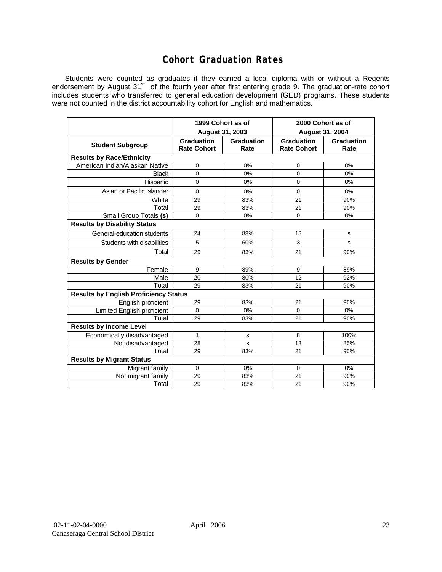## **Cohort Graduation Rates**

Students were counted as graduates if they earned a local diploma with or without a Regents endorsement by August 31<sup>st</sup> of the fourth year after first entering grade 9. The graduation-rate cohort includes students who transferred to general education development (GED) programs. These students were not counted in the district accountability cohort for English and mathematics.

|                                              | 1999 Cohort as of<br>August 31, 2003    |                    | 2000 Cohort as of<br><b>August 31, 2004</b> |                           |  |  |  |  |  |  |  |
|----------------------------------------------|-----------------------------------------|--------------------|---------------------------------------------|---------------------------|--|--|--|--|--|--|--|
| <b>Student Subgroup</b>                      | <b>Graduation</b><br><b>Rate Cohort</b> | Graduation<br>Rate | <b>Graduation</b><br><b>Rate Cohort</b>     | <b>Graduation</b><br>Rate |  |  |  |  |  |  |  |
| <b>Results by Race/Ethnicity</b>             |                                         |                    |                                             |                           |  |  |  |  |  |  |  |
| American Indian/Alaskan Native               | 0                                       | 0%                 | 0                                           | 0%                        |  |  |  |  |  |  |  |
| <b>Black</b>                                 | 0                                       | 0%                 | 0                                           | 0%                        |  |  |  |  |  |  |  |
| Hispanic                                     | 0                                       | 0%                 | 0                                           | 0%                        |  |  |  |  |  |  |  |
| Asian or Pacific Islander                    | $\Omega$                                | 0%                 | 0                                           | 0%                        |  |  |  |  |  |  |  |
| White                                        | 29                                      | 83%                | 21                                          | 90%                       |  |  |  |  |  |  |  |
| Total                                        | 29                                      | 83%                | 21                                          | 90%                       |  |  |  |  |  |  |  |
| Small Group Totals (s)                       | $\Omega$                                | 0%                 | 0                                           | 0%                        |  |  |  |  |  |  |  |
| <b>Results by Disability Status</b>          |                                         |                    |                                             |                           |  |  |  |  |  |  |  |
| General-education students                   | 24                                      | 88%                | 18                                          | s                         |  |  |  |  |  |  |  |
| Students with disabilities                   | 5                                       | 60%                | 3                                           | s                         |  |  |  |  |  |  |  |
| Total                                        | 29                                      | 83%                | 21                                          | 90%                       |  |  |  |  |  |  |  |
| <b>Results by Gender</b>                     |                                         |                    |                                             |                           |  |  |  |  |  |  |  |
| Female                                       | 9                                       | 89%                | 9                                           | 89%                       |  |  |  |  |  |  |  |
| Male                                         | 20                                      | 80%                | 12                                          | 92%                       |  |  |  |  |  |  |  |
| Total                                        | 29                                      | 83%                | 21                                          | 90%                       |  |  |  |  |  |  |  |
| <b>Results by English Proficiency Status</b> |                                         |                    |                                             |                           |  |  |  |  |  |  |  |
| English proficient                           | 29                                      | 83%                | 21                                          | 90%                       |  |  |  |  |  |  |  |
| Limited English proficient                   | $\Omega$                                | 0%                 | 0                                           | 0%                        |  |  |  |  |  |  |  |
| Total                                        | 29                                      | 83%                | 21                                          | 90%                       |  |  |  |  |  |  |  |
| <b>Results by Income Level</b>               |                                         |                    |                                             |                           |  |  |  |  |  |  |  |
| Economically disadvantaged                   | 1                                       | s                  | 8                                           | 100%                      |  |  |  |  |  |  |  |
| Not disadvantaged                            | 28                                      | s                  | 13                                          | 85%                       |  |  |  |  |  |  |  |
| Total                                        | 29                                      | 83%                | 21                                          | 90%                       |  |  |  |  |  |  |  |
| <b>Results by Migrant Status</b>             |                                         |                    |                                             |                           |  |  |  |  |  |  |  |
| Migrant family                               | $\Omega$                                | 0%                 | $\mathbf 0$                                 | 0%                        |  |  |  |  |  |  |  |
| Not migrant family                           | 29                                      | 83%                | 21                                          | 90%                       |  |  |  |  |  |  |  |
| Total                                        | 29                                      | 83%                | 21                                          | 90%                       |  |  |  |  |  |  |  |